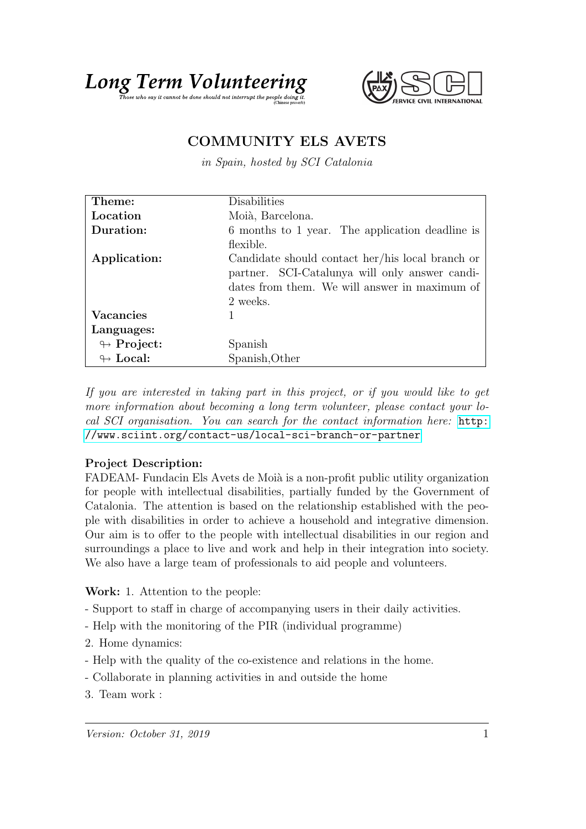



## COMMUNITY ELS AVETS

in Spain, hosted by SCI Catalonia

| Theme:                     | Disabilities                                     |
|----------------------------|--------------------------------------------------|
| Location                   | Moià, Barcelona.                                 |
| Duration:                  | 6 months to 1 year. The application deadline is  |
|                            | flexible.                                        |
| Application:               | Candidate should contact her/his local branch or |
|                            | partner. SCI-Catalunya will only answer candi-   |
|                            | dates from them. We will answer in maximum of    |
|                            | 2 weeks.                                         |
| <b>Vacancies</b>           |                                                  |
| Languages:                 |                                                  |
| $\leftrightarrow$ Project: | Spanish                                          |
| $\leftrightarrow$ Local:   | Spanish, Other                                   |

If you are interested in taking part in this project, or if you would like to get more information about becoming a long term volunteer, please contact your local SCI organisation. You can search for the contact information here: [http:](http://www.sciint.org/contact-us/local-sci-branch-or-partner) [//www.sciint.org/contact-us/local-sci-branch-or-partner](http://www.sciint.org/contact-us/local-sci-branch-or-partner)

## Project Description:

FADEAM- Fundacin Els Avets de Moià is a non-profit public utility organization for people with intellectual disabilities, partially funded by the Government of Catalonia. The attention is based on the relationship established with the people with disabilities in order to achieve a household and integrative dimension. Our aim is to offer to the people with intellectual disabilities in our region and surroundings a place to live and work and help in their integration into society. We also have a large team of professionals to aid people and volunteers.

Work: 1. Attention to the people:

- Support to staff in charge of accompanying users in their daily activities.
- Help with the monitoring of the PIR (individual programme)
- 2. Home dynamics:
- Help with the quality of the co-existence and relations in the home.
- Collaborate in planning activities in and outside the home
- 3. Team work :